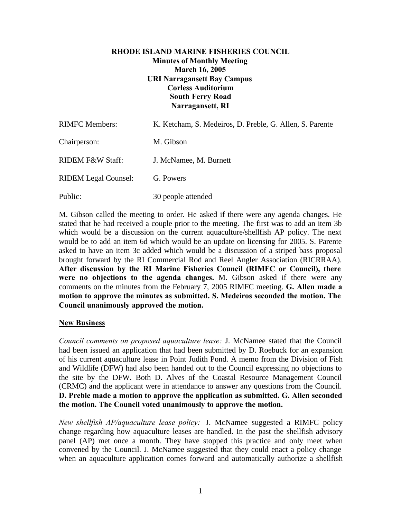## **RHODE ISLAND MARINE FISHERIES COUNCIL Minutes of Monthly Meeting March 16, 2005 URI Narragansett Bay Campus Corless Auditorium South Ferry Road Narragansett, RI**

| <b>RIMFC</b> Members:       | K. Ketcham, S. Medeiros, D. Preble, G. Allen, S. Parente |
|-----------------------------|----------------------------------------------------------|
| Chairperson:                | M. Gibson                                                |
| RIDEM F&W Staff:            | J. McNamee, M. Burnett                                   |
| <b>RIDEM Legal Counsel:</b> | G. Powers                                                |
| Public:                     | 30 people attended                                       |

M. Gibson called the meeting to order. He asked if there were any agenda changes. He stated that he had received a couple prior to the meeting. The first was to add an item 3b which would be a discussion on the current aquaculture/shellfish AP policy. The next would be to add an item 6d which would be an update on licensing for 2005. S. Parente asked to have an item 3c added which would be a discussion of a striped bass proposal brought forward by the RI Commercial Rod and Reel Angler Association (RICRRAA). **After discussion by the RI Marine Fisheries Council (RIMFC or Council), there were no objections to the agenda changes.** M. Gibson asked if there were any comments on the minutes from the February 7, 2005 RIMFC meeting. **G. Allen made a motion to approve the minutes as submitted. S. Medeiros seconded the motion. The Council unanimously approved the motion.**

# **New Business**

*Council comments on proposed aquaculture lease:* J. McNamee stated that the Council had been issued an application that had been submitted by D. Roebuck for an expansion of his current aquaculture lease in Point Judith Pond. A memo from the Division of Fish and Wildlife (DFW) had also been handed out to the Council expressing no objections to the site by the DFW. Both D. Alves of the Coastal Resource Management Council (CRMC) and the applicant were in attendance to answer any questions from the Council. **D. Preble made a motion to approve the application as submitted. G. Allen seconded the motion. The Council voted unanimously to approve the motion.**

*New shellfish AP/aquaculture lease policy:* J. McNamee suggested a RIMFC policy change regarding how aquaculture leases are handled. In the past the shellfish advisory panel (AP) met once a month. They have stopped this practice and only meet when convened by the Council. J. McNamee suggested that they could enact a policy change when an aquaculture application comes forward and automatically authorize a shellfish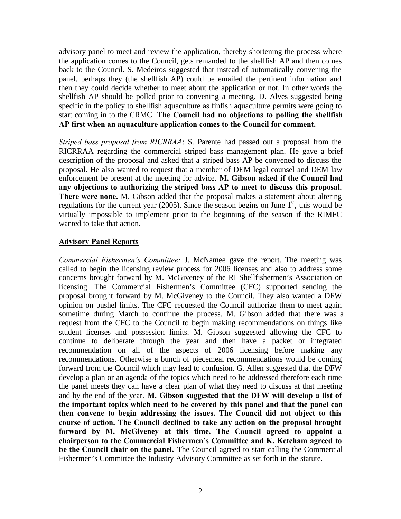advisory panel to meet and review the application, thereby shortening the process where the application comes to the Council, gets remanded to the shellfish AP and then comes back to the Council. S. Medeiros suggested that instead of automatically convening the panel, perhaps they (the shellfish AP) could be emailed the pertinent information and then they could decide whether to meet about the application or not. In other words the shellfish AP should be polled prior to convening a meeting. D. Alves suggested being specific in the policy to shellfish aquaculture as finfish aquaculture permits were going to start coming in to the CRMC. **The Council had no objections to polling the shellfish AP first when an aquaculture application comes to the Council for comment.**

*Striped bass proposal from RICRRAA*: S. Parente had passed out a proposal from the RICRRAA regarding the commercial striped bass management plan. He gave a brief description of the proposal and asked that a striped bass AP be convened to discuss the proposal. He also wanted to request that a member of DEM legal counsel and DEM law enforcement be present at the meeting for advice. **M. Gibson asked if the Council had any objections to authorizing the striped bass AP to meet to discuss this proposal. There were none.** M. Gibson added that the proposal makes a statement about altering regulations for the current year (2005). Since the season begins on June  $1<sup>st</sup>$ , this would be virtually impossible to implement prior to the beginning of the season if the RIMFC wanted to take that action.

#### **Advisory Panel Reports**

*Commercial Fishermen's Committee:* J. McNamee gave the report. The meeting was called to begin the licensing review process for 2006 licenses and also to address some concerns brought forward by M. McGiveney of the RI Shellfishermen's Association on licensing. The Commercial Fishermen's Committee (CFC) supported sending the proposal brought forward by M. McGiveney to the Council. They also wanted a DFW opinion on bushel limits. The CFC requested the Council authorize them to meet again sometime during March to continue the process. M. Gibson added that there was a request from the CFC to the Council to begin making recommendations on things like student licenses and possession limits. M. Gibson suggested allowing the CFC to continue to deliberate through the year and then have a packet or integrated recommendation on all of the aspects of 2006 licensing before making any recommendations. Otherwise a bunch of piecemeal recommendations would be coming forward from the Council which may lead to confusion. G. Allen suggested that the DFW develop a plan or an agenda of the topics which need to be addressed therefore each time the panel meets they can have a clear plan of what they need to discuss at that meeting and by the end of the year. **M. Gibson suggested that the DFW will develop a list of the important topics which need to be covered by this panel and that the panel can then convene to begin addressing the issues. The Council did not object to this course of action. The Council declined to take any action on the proposal brought forward by M. McGiveney at this time. The Council agreed to appoint a chairperson to the Commercial Fishermen's Committee and K. Ketcham agreed to be the Council chair on the panel.** The Council agreed to start calling the Commercial Fishermen's Committee the Industry Advisory Committee as set forth in the statute.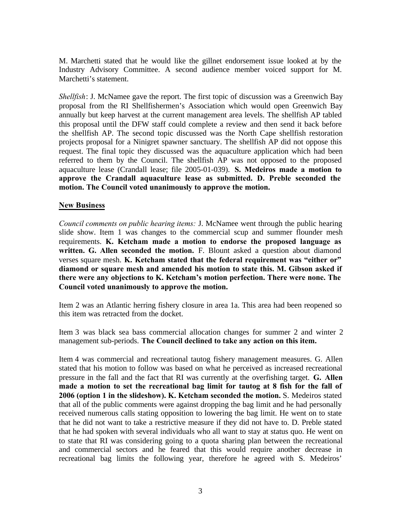M. Marchetti stated that he would like the gillnet endorsement issue looked at by the Industry Advisory Committee. A second audience member voiced support for M. Marchetti's statement.

*Shellfish*: J. McNamee gave the report. The first topic of discussion was a Greenwich Bay proposal from the RI Shellfishermen's Association which would open Greenwich Bay annually but keep harvest at the current management area levels. The shellfish AP tabled this proposal until the DFW staff could complete a review and then send it back before the shellfish AP. The second topic discussed was the North Cape shellfish restoration projects proposal for a Ninigret spawner sanctuary. The shellfish AP did not oppose this request. The final topic they discussed was the aquaculture application which had been referred to them by the Council. The shellfish AP was not opposed to the proposed aquaculture lease (Crandall lease; file 2005-01-039). **S. Medeiros made a motion to approve the Crandall aquaculture lease as submitted. D. Preble seconded the motion. The Council voted unanimously to approve the motion.**

#### **New Business**

*Council comments on public hearing items:* J. McNamee went through the public hearing slide show. Item 1 was changes to the commercial scup and summer flounder mesh requirements. **K. Ketcham made a motion to endorse the proposed language as written. G. Allen seconded the motion.** F. Blount asked a question about diamond verses square mesh. **K. Ketcham stated that the federal requirement was "either or" diamond or square mesh and amended his motion to state this. M. Gibson asked if there were any objections to K. Ketcham's motion perfection. There were none. The Council voted unanimously to approve the motion.**

Item 2 was an Atlantic herring fishery closure in area 1a. This area had been reopened so this item was retracted from the docket.

Item 3 was black sea bass commercial allocation changes for summer 2 and winter 2 management sub-periods. **The Council declined to take any action on this item.**

Item 4 was commercial and recreational tautog fishery management measures. G. Allen stated that his motion to follow was based on what he perceived as increased recreational pressure in the fall and the fact that RI was currently at the overfishing target. **G. Allen made a motion to set the recreational bag limit for tautog at 8 fish for the fall of 2006 (option 1 in the slideshow). K. Ketcham seconded the motion.** S. Medeiros stated that all of the public comments were against dropping the bag limit and he had personally received numerous calls stating opposition to lowering the bag limit. He went on to state that he did not want to take a restrictive measure if they did not have to. D. Preble stated that he had spoken with several individuals who all want to stay at status quo. He went on to state that RI was considering going to a quota sharing plan between the recreational and commercial sectors and he feared that this would require another decrease in recreational bag limits the following year, therefore he agreed with S. Medeiros'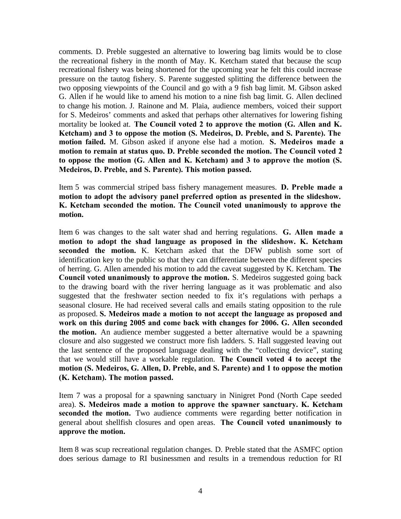comments. D. Preble suggested an alternative to lowering bag limits would be to close the recreational fishery in the month of May. K. Ketcham stated that because the scup recreational fishery was being shortened for the upcoming year he felt this could increase pressure on the tautog fishery. S. Parente suggested splitting the difference between the two opposing viewpoints of the Council and go with a 9 fish bag limit. M. Gibson asked G. Allen if he would like to amend his motion to a nine fish bag limit. G. Allen declined to change his motion. J. Rainone and M. Plaia, audience members, voiced their support for S. Medeiros' comments and asked that perhaps other alternatives for lowering fishing mortality be looked at. **The Council voted 2 to approve the motion (G. Allen and K. Ketcham) and 3 to oppose the motion (S. Medeiros, D. Preble, and S. Parente). The motion failed.** M. Gibson asked if anyone else had a motion. **S. Medeiros made a motion to remain at status quo. D. Preble seconded the motion. The Council voted 2 to oppose the motion (G. Allen and K. Ketcham) and 3 to approve the motion (S. Medeiros, D. Preble, and S. Parente). This motion passed.**

Item 5 was commercial striped bass fishery management measures. **D. Preble made a motion to adopt the advisory panel preferred option as presented in the slideshow. K. Ketcham seconded the motion. The Council voted unanimously to approve the motion.**

Item 6 was changes to the salt water shad and herring regulations. **G. Allen made a motion to adopt the shad language as proposed in the slideshow. K. Ketcham seconded the motion.** K. Ketcham asked that the DFW publish some sort of identification key to the public so that they can differentiate between the different species of herring. G. Allen amended his motion to add the caveat suggested by K. Ketcham. **The Council voted unanimously to approve the motion.** S. Medeiros suggested going back to the drawing board with the river herring language as it was problematic and also suggested that the freshwater section needed to fix it's regulations with perhaps a seasonal closure. He had received several calls and emails stating opposition to the rule as proposed. **S. Medeiros made a motion to not accept the language as proposed and work on this during 2005 and come back with changes for 2006. G. Allen seconded the motion.** An audience member suggested a better alternative would be a spawning closure and also suggested we construct more fish ladders. S. Hall suggested leaving out the last sentence of the proposed language dealing with the "collecting device", stating that we would still have a workable regulation. **The Council voted 4 to accept the motion (S. Medeiros, G. Allen, D. Preble, and S. Parente) and 1 to oppose the motion (K. Ketcham). The motion passed.**

Item 7 was a proposal for a spawning sanctuary in Ninigret Pond (North Cape seeded area). **S. Medeiros made a motion to approve the spawner sanctuary. K. Ketcham seconded the motion.** Two audience comments were regarding better notification in general about shellfish closures and open areas. **The Council voted unanimously to approve the motion.**

Item 8 was scup recreational regulation changes. D. Preble stated that the ASMFC option does serious damage to RI businessmen and results in a tremendous reduction for RI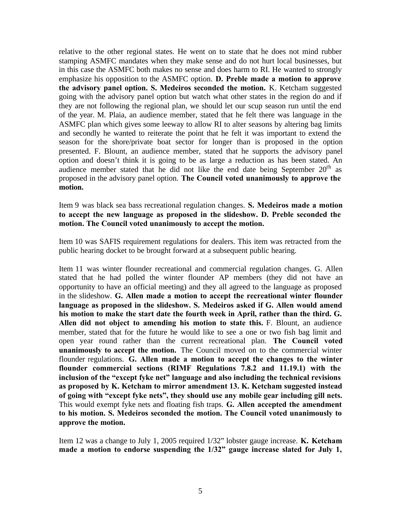relative to the other regional states. He went on to state that he does not mind rubber stamping ASMFC mandates when they make sense and do not hurt local businesses, but in this case the ASMFC both makes no sense and does harm to RI. He wanted to strongly emphasize his opposition to the ASMFC option. **D. Preble made a motion to approve the advisory panel option. S. Medeiros seconded the motion.** K. Ketcham suggested going with the advisory panel option but watch what other states in the region do and if they are not following the regional plan, we should let our scup season run until the end of the year. M. Plaia, an audience member, stated that he felt there was language in the ASMFC plan which gives some leeway to allow RI to alter seasons by altering bag limits and secondly he wanted to reiterate the point that he felt it was important to extend the season for the shore/private boat sector for longer than is proposed in the option presented. F. Blount, an audience member, stated that he supports the advisory panel option and doesn't think it is going to be as large a reduction as has been stated. An audience member stated that he did not like the end date being September  $20<sup>th</sup>$  as proposed in the advisory panel option. **The Council voted unanimously to approve the motion.**

Item 9 was black sea bass recreational regulation changes. **S. Medeiros made a motion to accept the new language as proposed in the slideshow. D. Preble seconded the motion. The Council voted unanimously to accept the motion.**

Item 10 was SAFIS requirement regulations for dealers. This item was retracted from the public hearing docket to be brought forward at a subsequent public hearing.

Item 11 was winter flounder recreational and commercial regulation changes. G. Allen stated that he had polled the winter flounder AP members (they did not have an opportunity to have an official meeting) and they all agreed to the language as proposed in the slideshow. **G. Allen made a motion to accept the recreational winter flounder language as proposed in the slideshow. S. Medeiros asked if G. Allen would amend his motion to make the start date the fourth week in April, rather than the third. G. Allen did not object to amending his motion to state this.** F. Blount, an audience member, stated that for the future he would like to see a one or two fish bag limit and open year round rather than the current recreational plan. **The Council voted unanimously to accept the motion.** The Council moved on to the commercial winter flounder regulations. **G. Allen made a motion to accept the changes to the winter flounder commercial sections (RIMF Regulations 7.8.2 and 11.19.1) with the inclusion of the "except fyke net" language and also including the technical revisions as proposed by K. Ketcham to mirror amendment 13. K. Ketcham suggested instead of going with "except fyke nets", they should use any mobile gear including gill nets.** This would exempt fyke nets and floating fish traps. **G. Allen accepted the amendment to his motion. S. Medeiros seconded the motion. The Council voted unanimously to approve the motion.**

Item 12 was a change to July 1, 2005 required 1/32" lobster gauge increase. **K. Ketcham made a motion to endorse suspending the 1/32" gauge increase slated for July 1,**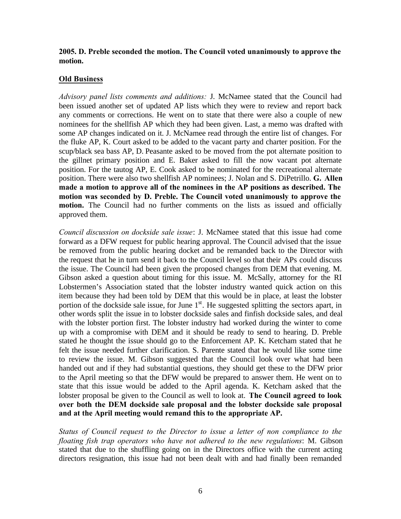## **2005. D. Preble seconded the motion. The Council voted unanimously to approve the motion.**

## **Old Business**

*Advisory panel lists comments and additions:* J. McNamee stated that the Council had been issued another set of updated AP lists which they were to review and report back any comments or corrections. He went on to state that there were also a couple of new nominees for the shellfish AP which they had been given. Last, a memo was drafted with some AP changes indicated on it. J. McNamee read through the entire list of changes. For the fluke AP, K. Court asked to be added to the vacant party and charter position. For the scup/black sea bass AP, D. Peasante asked to be moved from the pot alternate position to the gillnet primary position and E. Baker asked to fill the now vacant pot alternate position. For the tautog AP, E. Cook asked to be nominated for the recreational alternate position. There were also two shellfish AP nominees; J. Nolan and S. DiPetrillo. **G. Allen made a motion to approve all of the nominees in the AP positions as described. The motion was seconded by D. Preble. The Council voted unanimously to approve the motion.** The Council had no further comments on the lists as issued and officially approved them.

*Council discussion on dockside sale issue*: J. McNamee stated that this issue had come forward as a DFW request for public hearing approval. The Council advised that the issue be removed from the public hearing docket and be remanded back to the Director with the request that he in turn send it back to the Council level so that their APs could discuss the issue. The Council had been given the proposed changes from DEM that evening. M. Gibson asked a question about timing for this issue. M. McSally, attorney for the RI Lobstermen's Association stated that the lobster industry wanted quick action on this item because they had been told by DEM that this would be in place, at least the lobster portion of the dockside sale issue, for June  $1<sup>st</sup>$ . He suggested splitting the sectors apart, in other words split the issue in to lobster dockside sales and finfish dockside sales, and deal with the lobster portion first. The lobster industry had worked during the winter to come up with a compromise with DEM and it should be ready to send to hearing. D. Preble stated he thought the issue should go to the Enforcement AP. K. Ketcham stated that he felt the issue needed further clarification. S. Parente stated that he would like some time to review the issue. M. Gibson suggested that the Council look over what had been handed out and if they had substantial questions, they should get these to the DFW prior to the April meeting so that the DFW would be prepared to answer them. He went on to state that this issue would be added to the April agenda. K. Ketcham asked that the lobster proposal be given to the Council as well to look at. **The Council agreed to look over both the DEM dockside sale proposal and the lobster dockside sale proposal and at the April meeting would remand this to the appropriate AP.**

*Status of Council request to the Director to issue a letter of non compliance to the floating fish trap operators who have not adhered to the new regulations*: M. Gibson stated that due to the shuffling going on in the Directors office with the current acting directors resignation, this issue had not been dealt with and had finally been remanded